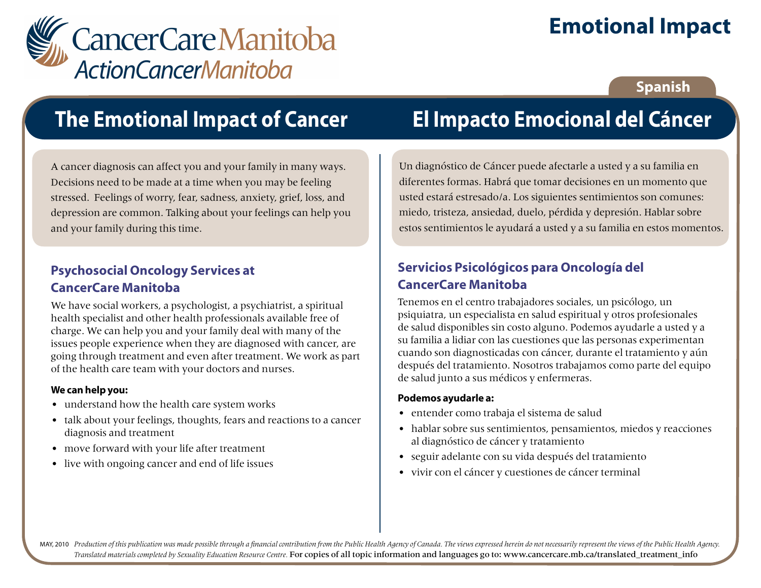

# **Emotional Impact**

### **Spanish**

## **The Emotional Impact of Cancer**

A cancer diagnosis can affect you and your family in many ways. Decisions need to be made at a time when you may be feeling stressed. Feelings of worry, fear, sadness, anxiety, grief, loss, and depression are common. Talking about your feelings can help you and your family during this time.

### **Psychosocial Oncology Services at CancerCare Manitoba**

We have social workers, a psychologist, a psychiatrist, a spiritual health specialist and other health professionals available free of charge. We can help you and your family deal with many of the issues people experience when they are diagnosed with cancer, are going through treatment and even after treatment. We work as part of the health care team with your doctors and nurses.

#### **We can help you:**

- understand how the health care system works
- talk about your feelings, thoughts, fears and reactions to a cancer diagnosis and treatment
- move forward with your life after treatment
- live with ongoing cancer and end of life issues

# **El Impacto Emocional del Cáncer**

Un diagnóstico de Cáncer puede afectarle a usted y a su familia en diferentes formas. Habrá que tomar decisiones en un momento que usted estará estresado/a. Los siguientes sentimientos son comunes: miedo, tristeza, ansiedad, duelo, pérdida y depresión. Hablar sobre estos sentimientos le ayudará a usted y a su familia en estos momentos.

## **Servicios Psicológicos para Oncología del CancerCare Manitoba**

Tenemos en el centro trabajadores sociales, un psicólogo, un psiquiatra, un especialista en salud espiritual y otros profesionales de salud disponibles sin costo alguno. Podemos ayudarle a usted y a su familia a lidiar con las cuestiones que las personas experimentan cuando son diagnosticadas con cáncer, durante el tratamiento y aún después del tratamiento. Nosotros trabajamos como parte del equipo de salud junto a sus médicos y enfermeras.

#### **Podemos ayudarle a:**

- entender como trabaja el sistema de salud
- hablar sobre sus sentimientos, pensamientos, miedos y reacciones al diagnóstico de cáncer y tratamiento
- seguir adelante con su vida después del tratamiento
- vivir con el cáncer y cuestiones de cáncer terminal

MAY, 2010 Production of this publication was made possible through a financial contribution from the Public Health Agency of Canada. The views expressed herein do not necessarily represent the views of the Public Health Ag *Translated materials completed by Sexuality Education Resource Centre.* For copies of all topic information and languages go to: www.cancercare.mb.ca/translated\_treatment\_info